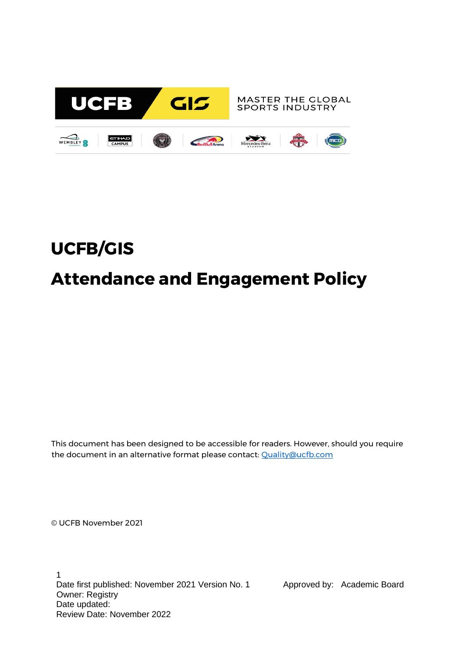

# **UCFB/GIS Attendance and Engagement Policy**

This document has been designed to be accessible for readers. However, should you require the document in an alternative format please contact: [Quality@ucfb.com](mailto:Quality@ucfb.com)

© UCFB November 2021

1 Date first published: November 2021 Version No. 1 Approved by: Academic Board Owner: Registry Date updated: Review Date: November 2022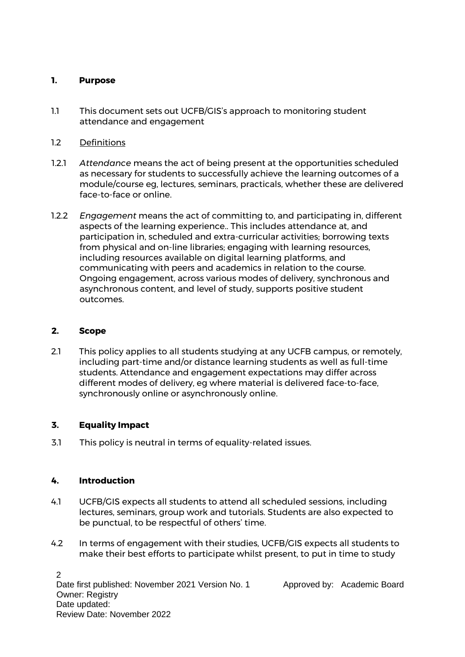#### **1. Purpose**

- 1.1 This document sets out UCFB/GIS's approach to monitoring student attendance and engagement
- 1.2 Definitions
- 1.2.1 *Attendance* means the act of being present at the opportunities scheduled as necessary for students to successfully achieve the learning outcomes of a module/course eg, lectures, seminars, practicals, whether these are delivered face-to-face or online.
- 1.2.2 *Engagement* means the act of committing to, and participating in, different aspects of the learning experience.. This includes attendance at, and participation in, scheduled and extra-curricular activities; borrowing texts from physical and on-line libraries; engaging with learning resources, including resources available on digital learning platforms, and communicating with peers and academics in relation to the course. Ongoing engagement, across various modes of delivery, synchronous and asynchronous content, and level of study, supports positive student outcomes.

#### **2. Scope**

2.1 This policy applies to all students studying at any UCFB campus, or remotely, including part-time and/or distance learning students as well as full-time students. Attendance and engagement expectations may differ across different modes of delivery, eg where material is delivered face-to-face, synchronously online or asynchronously online.

## **3. Equality Impact**

3.1 This policy is neutral in terms of equality-related issues.

## **4. Introduction**

- 4.1 UCFB/GIS expects all students to attend all scheduled sessions, including lectures, seminars, group work and tutorials. Students are also expected to be punctual, to be respectful of others' time.
- 4.2 In terms of engagement with their studies, UCFB/GIS expects all students to make their best efforts to participate whilst present, to put in time to study

2 Date first published: November 2021 Version No. 1 Approved by: Academic Board Owner: Registry Date updated: Review Date: November 2022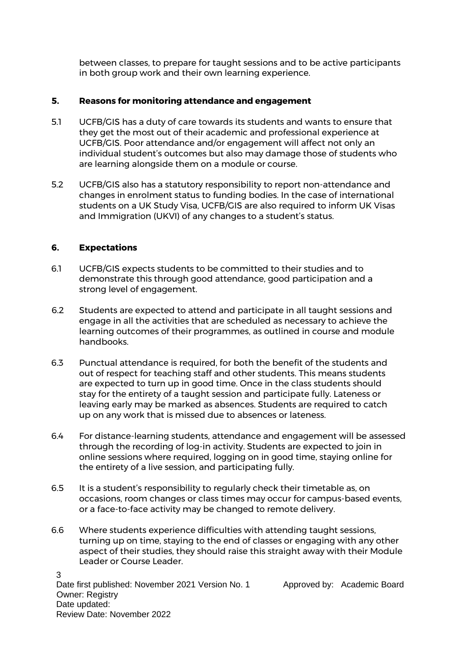between classes, to prepare for taught sessions and to be active participants in both group work and their own learning experience.

#### **5. Reasons for monitoring attendance and engagement**

- 5.1 UCFB/GIS has a duty of care towards its students and wants to ensure that they get the most out of their academic and professional experience at UCFB/GIS. Poor attendance and/or engagement will affect not only an individual student's outcomes but also may damage those of students who are learning alongside them on a module or course.
- 5.2 UCFB/GIS also has a statutory responsibility to report non-attendance and changes in enrolment status to funding bodies. In the case of international students on a UK Study Visa, UCFB/GIS are also required to inform UK Visas and Immigration (UKVI) of any changes to a student's status.

#### **6. Expectations**

- 6.1 UCFB/GIS expects students to be committed to their studies and to demonstrate this through good attendance, good participation and a strong level of engagement.
- 6.2 Students are expected to attend and participate in all taught sessions and engage in all the activities that are scheduled as necessary to achieve the learning outcomes of their programmes, as outlined in course and module handbooks.
- 6.3 Punctual attendance is required, for both the benefit of the students and out of respect for teaching staff and other students. This means students are expected to turn up in good time. Once in the class students should stay for the entirety of a taught session and participate fully. Lateness or leaving early may be marked as absences. Students are required to catch up on any work that is missed due to absences or lateness.
- 6.4 For distance-learning students, attendance and engagement will be assessed through the recording of log-in activity. Students are expected to join in online sessions where required, logging on in good time, staying online for the entirety of a live session, and participating fully.
- 6.5 It is a student's responsibility to regularly check their timetable as, on occasions, room changes or class times may occur for campus-based events, or a face-to-face activity may be changed to remote delivery.
- 6.6 Where students experience difficulties with attending taught sessions, turning up on time, staying to the end of classes or engaging with any other aspect of their studies, they should raise this straight away with their Module Leader or Course Leader.

3 Date first published: November 2021 Version No. 1 Approved by: Academic Board Owner: Registry Date updated: Review Date: November 2022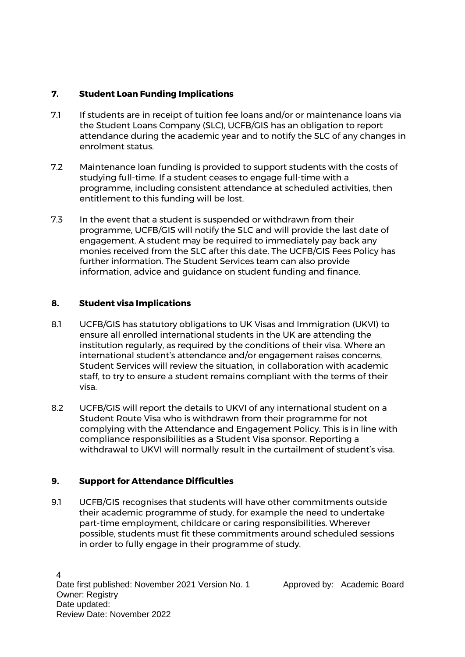# **7. Student Loan Funding Implications**

- 7.1 If students are in receipt of tuition fee loans and/or or maintenance loans via the Student Loans Company (SLC), UCFB/GIS has an obligation to report attendance during the academic year and to notify the SLC of any changes in enrolment status.
- 7.2 Maintenance loan funding is provided to support students with the costs of studying full-time. If a student ceases to engage full-time with a programme, including consistent attendance at scheduled activities, then entitlement to this funding will be lost.
- 7.3 In the event that a student is suspended or withdrawn from their programme, UCFB/GIS will notify the SLC and will provide the last date of engagement. A student may be required to immediately pay back any monies received from the SLC after this date. The UCFB/GIS Fees Policy has further information. The Student Services team can also provide information, advice and guidance on student funding and finance.

## **8. Student visa Implications**

- 8.1 UCFB/GIS has statutory obligations to UK Visas and Immigration (UKVI) to ensure all enrolled international students in the UK are attending the institution regularly, as required by the conditions of their visa. Where an international student's attendance and/or engagement raises concerns, Student Services will review the situation, in collaboration with academic staff, to try to ensure a student remains compliant with the terms of their visa.
- 8.2 UCFB/GIS will report the details to UKVI of any international student on a Student Route Visa who is withdrawn from their programme for not complying with the Attendance and Engagement Policy. This is in line with compliance responsibilities as a Student Visa sponsor. Reporting a withdrawal to UKVI will normally result in the curtailment of student's visa.

## **9. Support for Attendance Difficulties**

9.1 UCFB/GIS recognises that students will have other commitments outside their academic programme of study, for example the need to undertake part-time employment, childcare or caring responsibilities. Wherever possible, students must fit these commitments around scheduled sessions in order to fully engage in their programme of study.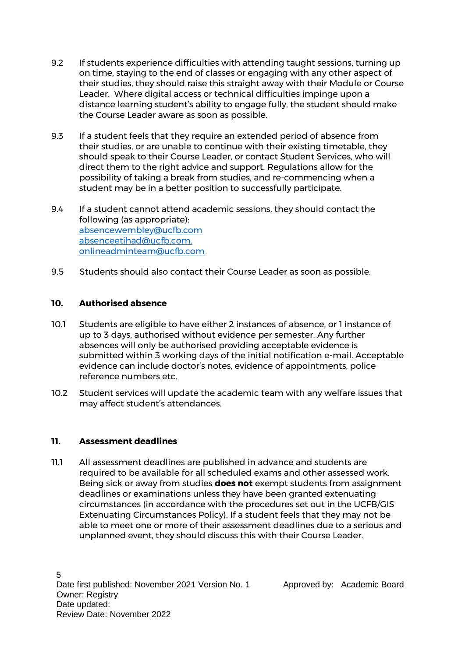- 9.2 If students experience difficulties with attending taught sessions, turning up on time, staying to the end of classes or engaging with any other aspect of their studies, they should raise this straight away with their Module or Course Leader. Where digital access or technical difficulties impinge upon a distance learning student's ability to engage fully, the student should make the Course Leader aware as soon as possible.
- 9.3 If a student feels that they require an extended period of absence from their studies, or are unable to continue with their existing timetable, they should speak to their Course Leader, or contact Student Services, who will direct them to the right advice and support. Regulations allow for the possibility of taking a break from studies, and re-commencing when a student may be in a better position to successfully participate.
- 9.4 If a student cannot attend academic sessions, they should contact the following (as appropriate): [absencewembley@ucfb.com](mailto:absencewembley@ucfb.com) [absenceetihad@ucfb.com.](mailto:absenceetihad@ucfb.com) [onlineadminteam@ucfb.com](mailto:onlineadminteam@ucfb.com)
- 9.5 Students should also contact their Course Leader as soon as possible.

## **10. Authorised absence**

- 10.1 Students are eligible to have either 2 instances of absence, or 1 instance of up to 3 days, authorised without evidence per semester. Any further absences will only be authorised providing acceptable evidence is submitted within 3 working days of the initial notification e-mail. Acceptable evidence can include doctor's notes, evidence of appointments, police reference numbers etc.
- 10.2 Student services will update the academic team with any welfare issues that may affect student's attendances.

## **11. Assessment deadlines**

11.1 All assessment deadlines are published in advance and students are required to be available for all scheduled exams and other assessed work. Being sick or away from studies **does not** exempt students from assignment deadlines or examinations unless they have been granted extenuating circumstances (in accordance with the procedures set out in the UCFB/GIS Extenuating Circumstances Policy). If a student feels that they may not be able to meet one or more of their assessment deadlines due to a serious and unplanned event, they should discuss this with their Course Leader.